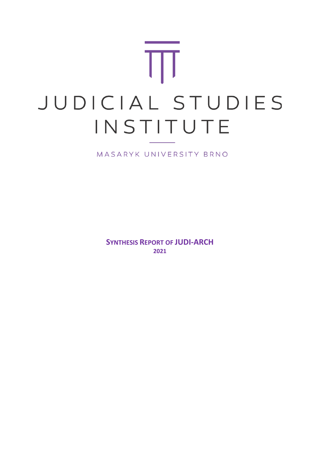# T JUDICIAL STUDIES INSTITUTE

MASARYK UNIVERSITY BRNO

**SYNTHESIS REPORT OF JUDI-ARCH 2021**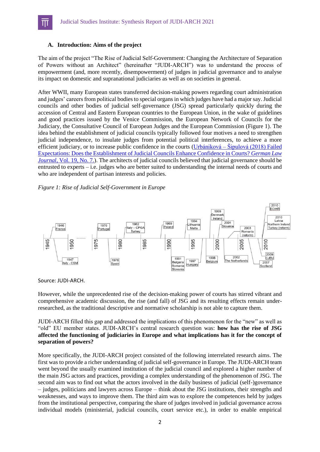## **A. Introduction: Aims of the project**

I

The aim of the project "The Rise of Judicial Self-Government: Changing the Architecture of Separation of Powers without an Architect" (hereinafter "JUDI-ARCH") was to understand the process of empowerment (and, more recently, disempowerment) of judges in judicial governance and to analyse its impact on domestic and supranational judiciaries as well as on societies in general.

After WWII, many European states transferred decision-making powers regarding court administration and judges' careers from political bodies to special organs in which judges have had a major say. Judicial councils and other bodies of judicial self-governance (JSG) spread particularly quickly during the accession of Central and Eastern European countries to the European Union, in the wake of guidelines and good practices issued by the Venice Commission, the European Network of Councils for the Judiciary, the Consultative Council of European Judges and the European Commission (Figure 1). The idea behind the establishment of judicial councils typically followed four motives a need to strengthen judicial independence, to insulate judges from potential political interferences, to achieve a more efficient judiciary, or to increase public confidence in the courts  $(Urbániková – Šipulová (2018) Failed)$  $(Urbániková – Šipulová (2018) Failed)$  $(Urbániková – Šipulová (2018) Failed)$ [Expectations: Does the Establishment of Judicial Councils Enhance Confidence in Courts?](https://is.muni.cz/publication/1483384/Vol_19_No_7_Urbanikova_Sipulova.pdf) *German Law [Journal,](https://is.muni.cz/publication/1483384/Vol_19_No_7_Urbanikova_Sipulova.pdf) Vol.* 19, No. 7.). The architects of judicial councils believed that judicial governance should be entrusted to experts – i.e. judges who are better suited to understanding the internal needs of courts and who are independent of partisan interests and policies.

#### *Figure 1: Rise of Judicial Self-Government in Europe*



Source: JUDI-ARCH.

However, while the unprecedented rise of the decision-making power of courts has stirred vibrant and comprehensive academic discussion, the rise (and fall) of JSG and its resulting effects remain underresearched, as the traditional descriptive and normative scholarship is not able to capture them.

JUDI-ARCH filled this gap and addressed the implications of this phenomenon for the "new" as well as "old" EU member states. JUDI-ARCH's central research question was: **how has the rise of JSG affected the functioning of judiciaries in Europe and what implications has it for the concept of separation of powers?**

More specifically, the JUDI-ARCH project consisted of the following interrelated research aims. The first was to provide a richer understanding of judicial self-governance in Europe. The JUDI-ARCH team went beyond the usually examined institution of the judicial council and explored a higher number of the main JSG actors and practices, providing a complex understanding of the phenomenon of JSG. The second aim was to find out what the actors involved in the daily business of judicial (self-)governance – judges, politicians and lawyers across Europe – think about the JSG institutions, their strengths and weaknesses, and ways to improve them. The third aim was to explore the competences held by judges from the institutional perspective, comparing the share of judges involved in judicial governance across individual models (ministerial, judicial councils, court service etc.), in order to enable empirical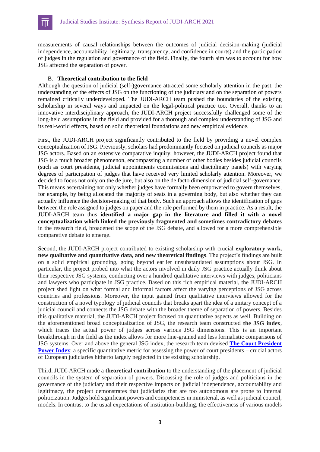measurements of causal relationships between the outcomes of judicial decision-making (judicial independence, accountability, legitimacy, transparency, and confidence in courts) and the participation of judges in the regulation and governance of the field. Finally, the fourth aim was to account for how JSG affected the separation of power.

## B. **Theoretical contribution to the field**

I

Although the question of judicial (self-)governance attracted some scholarly attention in the past, the understanding of the effects of JSG on the functioning of the judiciary and on the separation of powers remained critically underdeveloped. The JUDI-ARCH team pushed the boundaries of the existing scholarship in several ways and impacted on the legal-political practice too. Overall, thanks to an innovative interdisciplinary approach, the JUDI-ARCH project successfully challenged some of the long-held assumptions in the field and provided for a thorough and complex understanding of JSG and its real-world effects, based on solid theoretical foundations and new empirical evidence.

First, the JUDI-ARCH project significantly contributed to the field by providing a novel complex conceptualization of JSG. Previously, scholars had predominantly focused on judicial councils as major JSG actors. Based on an extensive comparative inquiry, however, the JUDI-ARCH project found that JSG is a much broader phenomenon, encompassing a number of other bodies besides judicial councils (such as court presidents, judicial appointments commissions and disciplinary panels) with varying degrees of participation of judges that have received very limited scholarly attention. Moreover, we decided to focus not only on the de jure, but also on the de facto dimension of judicial self-governance. This means ascertaining not only whether judges have formally been empowered to govern themselves, for example, by being allocated the majority of seats in a governing body, but also whether they can actually influence the decision-making of that body. Such an approach allows the identification of gaps between the role assigned to judges on paper and the role performed by them in practice. As a result, the JUDI-ARCH team thus **identified a major gap in the literature and filled it with a novel conceptualization which linked the previously fragmented and sometimes contradictory debates** in the research field, broadened the scope of the JSG debate, and allowed for a more comprehensible comparative debate to emerge.

Second, the JUDI-ARCH project contributed to existing scholarship with crucial **exploratory work, new qualitative and quantitative data, and new theoretical findings**. The project's findings are built on a solid empirical grounding, going beyond earlier unsubstantiated assumptions about JSG. In particular, the project probed into what the actors involved in daily JSG practice actually think about their respective JSG systems, conducting over a hundred qualitative interviews with judges, politicians and lawyers who participate in JSG practice. Based on this rich empirical material, the JUDI-ARCH project shed light on what formal and informal factors affect the varying perceptions of JSG across countries and professions. Moreover, the input gained from qualitative interviews allowed for the construction of a novel typology of judicial councils that breaks apart the idea of a unitary concept of a judicial council and connects the JSG debate with the broader theme of separation of powers. Besides this qualitative material, the JUDI-ARCH project focused on quantitative aspects as well. Building on the aforementioned broad conceptualization of JSG, the research team constructed **the JSG index**, which traces the actual power of judges across various JSG dimensions. This is an important breakthrough in the field as the index allows for more fine-grained and less formalistic comparisons of JSG systems. Over and above the general JSG index, the research team devised **[The Court President](https://www.cambridge.org/core/journals/german-law-journal/article/court-presidents-the-missing-piece-in-the-puzzle-of-judicial-governance/A628AC11E64CB9B5A49514367FD5F4CC)  [Power Index](https://www.cambridge.org/core/journals/german-law-journal/article/court-presidents-the-missing-piece-in-the-puzzle-of-judicial-governance/A628AC11E64CB9B5A49514367FD5F4CC)**: a specific quantitative metric for assessing the power of court presidents – crucial actors of European judiciaries hitherto largely neglected in the existing scholarship.

Third, JUDI-ARCH made a **theoretical contribution** to the understanding of the placement of judicial councils in the system of separation of powers. Discussing the role of judges and politicians in the governance of the judiciary and their respective impacts on judicial independence, accountability and legitimacy, the project demonstrates that judiciaries that are too autonomous are prone to internal politicization. Judges hold significant powers and competences in ministerial, as well as judicial council, models. In contrast to the usual expectations of institution-building, the effectiveness of various models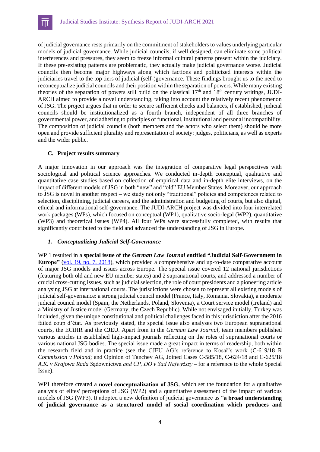of judicial governance rests primarily on the commitment of stakeholders to values underlying particular models of judicial governance. While judicial councils, if well designed, can eliminate some political interferences and pressures, they seem to freeze informal cultural patterns present within the judiciary. If these pre-existing patterns are problematic, they actually make judicial governance worse. Judicial councils then become major highways along which factions and politicized interests within the judiciaries travel to the top tiers of judicial (self-)governance. These findings brought us to the need to reconceptualize judicial councils and their position within the separation of powers. While many existing theories of the separation of powers still build on the classical  $17<sup>th</sup>$  and  $18<sup>th</sup>$  century writings, JUDI-ARCH aimed to provide a novel understanding, taking into account the relatively recent phenomenon of JSG. The project argues that in order to secure sufficient checks and balances, if established, judicial councils should be institutionalized as a fourth branch, independent of all three branches of governmental power, and adhering to principles of functional, institutional and personal incompatibility. The composition of judicial councils (both members and the actors who select them) should be more open and provide sufficient plurality and representation of society: judges, politicians, as well as experts and the wider public.

#### **C. Project results summary**

I

A major innovation in our approach was the integration of comparative legal perspectives with sociological and political science approaches. We conducted in-depth conceptual, qualitative and quantitative case studies based on collection of empirical data and in-depth elite interviews, on the impact of different models of JSG in both "new" and "old" EU Member States. Moreover, our approach to JSG is novel in another respect – we study not only "traditional" policies and competences related to selection, disciplining, judicial careers, and the administration and budgeting of courts, but also digital, ethical and informational self-governance. The JUDI-ARCH project was divided into four interrelated work packages (WPs), which focused on conceptual (WP1), qualitative socio-legal (WP2), quantitative (WP3) and theoretical issues (WP4). All four WPs were successfully completed, with results that significantly contributed to the field and advanced the understanding of JSG in Europe.

#### *1. Conceptualizing Judicial Self-Governance*

WP 1 resulted in a **special issue of the** *German Law Journal* **entitled "Judicial Self-Government in Europe"** [\(vol. 19, no. 7, 2018\)](https://germanlawjournal.com/wp-content/uploads/Vol_19_No_7_full.pdf), which provided a comprehensive and up-to-date comparative account of major JSG models and issues across Europe. The special issue covered 12 national jurisdictions (featuring both old and new EU member states) and 2 supranational courts, and addressed a number of crucial cross-cutting issues, such as judicial selection, the role of court presidents and a pioneering article analysing JSG at international courts. The jurisdictions were chosen to represent all existing models of judicial self-governance: a strong judicial council model (France, Italy, Romania, Slovakia), a moderate judicial council model (Spain, the Netherlands, Poland, Slovenia), a Court service model (Ireland) and a Ministry of Justice model (Germany, the Czech Republic). While not envisaged initially, Turkey was included, given the unique constitutional and political challenges faced in this jurisdiction after the 2016 failed coup d'état. As previously stated, the special issue also analyses two European supranational courts, the ECtHR and the CJEU. Apart from in the *German Law Journal*, team members published various articles in established high-impact journals reflecting on the roles of supranational courts or various national JSG bodies. The special issue made a great impact in terms of readership, both within the research field and in practice (see the CJEU AG's reference to Kosař's work (C-619/18 R *Commission v Poland*; and Opinion of Tanchev AG, Joined Cases C-585/18, C-624/18 and C-625/18 *A.K. v Krajowa Rada S*ądownictwa *and CP, DO v Sąd Najwyższy* – for a reference to the whole Special Issue).

WP1 therefore created a **novel conceptualization of JSG**, which set the foundation for a qualitative analysis of elites' perceptions of JSG (WP2) and a quantitative assessment of the impact of various models of JSG (WP3). It adopted a new definition of judicial governance as "**a broad understanding of judicial governance as a structured model of social coordination which produces and**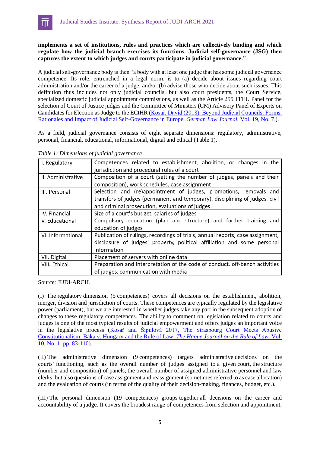## **implements a set of institutions, rules and practices which are collectively binding and which regulate how the judicial branch exercises its functions. Judicial self-governance (JSG) then captures the extent to which judges and courts participate in judicial governance.**"

A judicial self-governance body is then "a body with at least one judge that has some judicial governance competence. Its role, entrenched in a legal norm, is to (a) decide about issues regarding court administration and/or the career of a judge, and/or (b) advise those who decide about such issues. This definition thus includes not only judicial councils, but also court presidents, the Court Service, specialized domestic judicial appointment commissions, as well as the Article 255 TFEU Panel for the selection of Court of Justice judges and the Committee of Ministers (CM) Advisory Panel of Experts on Candidates for Election as Judge to the ECtHR (Kosař, David (2018). Beyond Judicial Councils: Forms, [Rationales and Impact of Judicial Self-Governance in Europe.](https://www.cambridge.org/core/services/aop-cambridge-core/content/view/664DE5677705E534D282A84E1134888A/S2071832200023178a.pdf/beyond-judicial-councils-forms-rationales-and-impact-of-judicial-self-governance-in-europe.pdf) *German Law Journal.* Vol. 19, No. 7.).

As a field, judicial governance consists of eight separate dimensions: regulatory, administrative, personal, financial, educational, informational, digital and ethical (Table 1).

| I. Regulatory      | Competences related to establishment, abolition, or changes in the             |  |  |
|--------------------|--------------------------------------------------------------------------------|--|--|
|                    | jurisdiction and procedural rules of a court                                   |  |  |
| II. Administrative | Composition of a court (setting the number of judges, panels and their         |  |  |
|                    | composition), work schedules, case assignment                                  |  |  |
| III. Personal      | Selection and (re)appointment of judges, promotions, removals and              |  |  |
|                    | transfers of judges (permanent and temporary), disciplining of judges, civil   |  |  |
|                    | and criminal prosecution, evaluations of judges                                |  |  |
| IV. Financial      | Size of a court's budget, salaries of judges                                   |  |  |
| V. Educational     | Compulsory education (plan and structure) and further training and             |  |  |
|                    | education of judges                                                            |  |  |
| VI. Informational  | Publication of rulings, recordings of trials, annual reports, case assignment, |  |  |
|                    | disclosure of judges' property, political affiliation and some personal        |  |  |
|                    | information                                                                    |  |  |
| VII. Digital       | Placement of servers with online data                                          |  |  |
| VIII. Ethical      | Preparation and interpretation of the code of conduct, off-bench activities    |  |  |
|                    | of judges, communication with media                                            |  |  |

*Table 1: Dimensions of judicial governance*

I

Source: JUDI-ARCH.

(I) The regulatory dimension (5 competences) covers all decisions on the establishment, abolition, merger, division and jurisdiction of courts. These competences are typically regulated by the legislative power (parliament), but we are interested in whether judges take any part in the subsequent adoption of changes to these regulatory competences. The ability to comment on legislation related to courts and judges is one of the most typical results of judicial empowerment and offers judges an important voice in the legislative process [\(Kosař and Šipulová 2017, The Strasbourg Court Meets Abusive](https://link.springer.com/article/10.1007/s40803-017-0065-y)  [Constitutionalism: Baka v. Hungary and the Rule of Law.](https://link.springer.com/article/10.1007/s40803-017-0065-y) *The Hague Journal on the Rule of Law*. Vol. [10, No. 1, pp. 83-110\)](https://link.springer.com/article/10.1007/s40803-017-0065-y).

(II) The administrative dimension (9 competences) targets administrative decisions on the courts' functioning, such as the overall number of judges assigned to a given court, the structure (number and composition) of panels, the overall number of assigned administrative personnel and law clerks, but also questions of case assignment and reassignment (sometimes referred to as case allocation) and the evaluation of courts (in terms of the quality of their decision-making, finances, budget, etc.).

(III) The personal dimension (19 competences) groups together all decisions on the career and accountability of a judge. It covers the broadest range of competences from selection and appointment,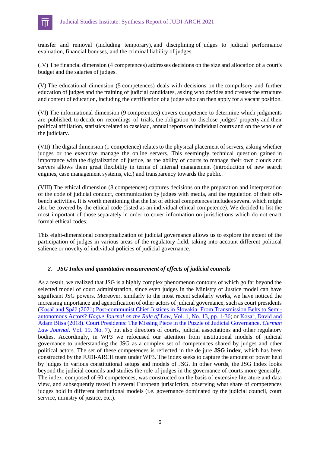

transfer and removal (including temporary), and disciplining of judges to judicial performance evaluation, financial bonuses, and the criminal liability of judges.

(IV) The financial dimension (4 competences) addresses decisions on the size and allocation of a court's budget and the salaries of judges.

(V) The educational dimension (5 competences) deals with decisions on the compulsory and further education of judges and the training of judicial candidates, asking who decides and creates the structure and content of education, including the certification of a judge who can then apply for a vacant position.

(VI) The informational dimension (9 competences) covers competence to determine which judgments are published, to decide on recordings of trials, the obligation to disclose judges' property and their political affiliation, statistics related to caseload, annual reports on individual courts and on the whole of the judiciary.

(VII) The digital dimension (1 competence) relates to the physical placement of servers, asking whether judges or the executive manage the online servers. This seemingly technical question gained in importance with the digitalization of justice, as the ability of courts to manage their own clouds and servers allows them great flexibility in terms of internal management (introduction of new search engines, case management systems, etc.) and transparency towards the public.

(VIII) The ethical dimension (8 competences) captures decisions on the preparation and interpretation of the code of judicial conduct, communication by judges with media, and the regulation of their offbench activities. It is worth mentioning that the list of ethical competences includes several which might also be covered by the ethical code (listed as an individual ethical competence). We decided to list the most important of those separately in order to cover information on jurisdictions which do not enact formal ethical codes.

This eight-dimensional conceptualization of judicial governance allows us to explore the extent of the participation of judges in various areas of the regulatory field, taking into account different political salience or novelty of individual policies of judicial governance.

#### *2. JSG Index and quantitative measurement of effects of judicial councils*

As a result, we realized that JSG is a highly complex phenomenon contours of which go far beyond the selected model of court administration, since even judges in the Ministry of Justice model can have significant JSG powers. Moreover, similarly to the most recent scholarly works, we have noticed the increasing importance and agencification of other actors of judicial governance, such as court presidents [\(Kosař and Spáč \(2021\) Post-communist Chief Justices in Slovakia: From Transmission Belts to Semi](http://dx.doi.org/10.1007/s40803-021-00150-w)autonomous Actors? *[Hague Journal on the Rule of Law](http://dx.doi.org/10.1007/s40803-021-00150-w)*, Vol. 1, No. 13, pp. 1-36; or [Kosař, David and](https://www.cambridge.org/core/journals/german-law-journal/article/court-presidents-the-missing-piece-in-the-puzzle-of-judicial-governance/A628AC11E64CB9B5A49514367FD5F4CC)  [Adam Blisa \(2018\). Court Presidents: The Missing Piece in the Puzzle of Judicial Governance.](https://www.cambridge.org/core/journals/german-law-journal/article/court-presidents-the-missing-piece-in-the-puzzle-of-judicial-governance/A628AC11E64CB9B5A49514367FD5F4CC) *German Law Journal*[. Vol. 19, No. 7\)](https://www.cambridge.org/core/journals/german-law-journal/article/court-presidents-the-missing-piece-in-the-puzzle-of-judicial-governance/A628AC11E64CB9B5A49514367FD5F4CC), but also directors of courts, judicial associations and other regulatory bodies. Accordingly, in WP3 we refocused our attention from institutional models of judicial governance to understanding the JSG as a complex set of competences shared by judges and other political actors. The set of these competences is reflected in the de jure **JSG index**, which has been constructed by the JUDI-ARCH team under WP3. The index seeks to capture the amount of power held by judges in various constitutional setups and models of JSG. In other words, the JSG Index looks beyond the judicial councils and studies the role of judges in the governance of courts more generally. The index, composed of 60 competences, was constructed on the basis of extensive literature and data view, and subsequently tested in several European jurisdiction, observing what share of competences judges hold in different institutional models (i.e. governance dominated by the judicial council, court service, ministry of justice, etc.).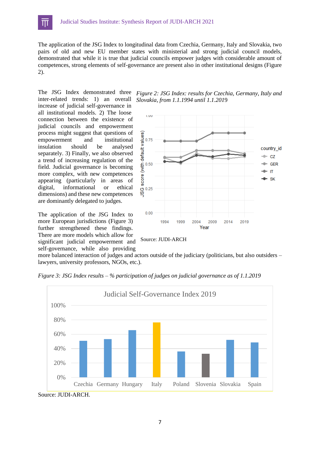The application of the JSG Index to longitudinal data from Czechia, Germany, Italy and Slovakia, two pairs of old and new EU member states with ministerial and strong judicial council models, demonstrated that while it is true that judicial councils empower judges with considerable amount of competences, strong elements of self-governance are present also in other institutional designs (Figure 2).

The JSG Index demonstrated three inter-related trends: 1) an overall increase of judicial self-governance in all institutional models. 2) The loose connection between the existence of judicial councils and empowerment process might suggest that questions of empowerment and institutional insulation should be analysed separately. 3) Finally, we also observed a trend of increasing regulation of the field. Judicial governance is becoming more complex, with new competences appearing (particularly in areas of digital, informational or ethical dimensions) and these new competences are dominantly delegated to judges.

I

The application of the JSG Index to more European jurisdictions (Figure 3) further strengthened these findings. There are more models which allow for significant judicial empowerment and self-governance, while also providing





Source: JUDI-ARCH

more balanced interaction of judges and actors outside of the judiciary (politicians, but also outsiders – lawyers, university professors, NGOs, etc.).

*Figure 3: JSG Index results – % participation of judges on judicial governance as of 1.1.2019*



Source: JUDI-ARCH.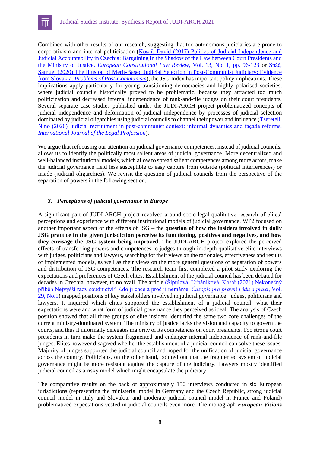Combined with other results of our research, suggesting that too autonomous judiciaries are prone to corporativism and internal politicisation [\(Kosař, David \(2017\) Politics of Judicial Independence and](doi:10.1017/S1574019616000419)  [Judicial Accountability in Czechia: Bargaining in the Shadow of the Law between Court Presidents and](doi:10.1017/S1574019616000419)  the Ministry of Justice. *[European Constitutional Law Review,](doi:10.1017/S1574019616000419)* Vol. 13, No. 1, pp. 96-123 or [Spáč,](doi:10.1080/10758216.2020.1806080)  [Samuel \(2020\) The Illusion of Merit-Based Judicial Selection in Post-Communist Judiciary: Evidence](doi:10.1080/10758216.2020.1806080)  from Slovakia. *[Problems of Post-Communism](doi:10.1080/10758216.2020.1806080)*), the JSG Index has important policy implications. These implications apply particularly for young transitioning democracies and highly polarised societies, where judicial councils historically proved to be problematic, because they attracted too much politicization and decreased internal independence of rank-and-file judges on their court presidents. Several separate case studies published under the JUDI-ARCH project problematized concepts of judicial independence and deformation of judicial independence by processes of judicial selection dominated by judicial oligarchies using judicial councils to channel their power and influence (Tsereteli, [Nino \(2020\) Judicial recruitment in post-communist context: informal dynamics and façade reforms.](doi:10.1080/09695958.2020.1776128)  *[International Journal of](doi:10.1080/09695958.2020.1776128) the Legal Profession*).

We argue that refocusing our attention on judicial governance competences, instead of judicial councils, allows us to identify the politically most salient areas of judicial governance. More decentralized and well-balanced institutional models, which allow to spread salient competences among more actors, make the judicial governance field less susceptible to easy capture from outside (political interferences) or inside (judicial oligarchies). We revisit the question of judicial councils from the perspective of the separation of powers in the following section.

# *3. Perceptions of judicial governance in Europe*

A significant part of JUDI-ARCH project revolved around socio-legal qualitative research of elites' perceptions and experience with different institutional models of judicial governance. WP2 focused on another important aspect of the effects of JSG – the **question of how the insiders involved in daily JSG practice in the given jurisdiction perceive its functioning, positives and negatives, and how they envisage the JSG system being improved**. The JUDI-ARCH project explored the perceived effects of transferring powers and competences to judges through in-depth qualitative elite interviews with judges, politicians and lawyers, searching for their views on the rationales, effectiveness and results of implemented models, as well as their views on the more general questions of separation of powers and distribution of JSG competences. The research team first completed a pilot study exploring the expectations and preferences of Czech elites. Establishment of the judicial council has been debated for decades in Czechia, however, to no avail. The article *(Šipulová, Urbániková, Kosař (2021) Nekonečný* [příběh Nejvyšší rady soudnictví" Kdo ji chce a proč ji nemáme.](https://journals.muni.cz/cpvp/article/view/14273) *Časopis pro právní vědu a praxi,* Vol. [29, No.1\)](https://journals.muni.cz/cpvp/article/view/14273) mapped positions of key stakeholders involved in judicial governance: judges, politicians and lawyers. It inquired which elites supported the establishment of a judicial council, what their expectations were and what form of judicial governance they perceived as ideal. The analysis of Czech position showed that all three groups of elite insiders identified the same two core challenges of the current ministry-dominated system: The ministry of justice lacks the vision and capacity to govern the courts, and thus it informally delegates majority of its competences on court presidents. Too strong court presidents in turn make the system fragmented and endanger internal independence of rank-and-file judges. Elites however disagreed whether the establishment of a judicial council can solve these issues. Majority of judges supported the judicial council and hoped for the unification of judicial governance across the country. Politicians, on the other hand, pointed out that the fragmented system of judicial governance might be more resistant against the capture of the judiciary. Lawyers mostly identified judicial council as a risky model which might encapsulate the judiciary.

The comparative results on the back of approximately 150 interviews conducted in six European jurisdictions (representing the ministerial model in Germany and the Czech Republic, strong judicial council model in Italy and Slovakia, and moderate judicial council model in France and Poland) problematized expectations vested in judicial councils even more. The monograph *European Visions*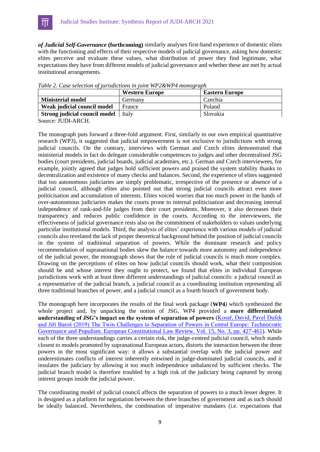

*of Judicial Self-Governance* **(forthcoming)** similarly analyses first-hand experience of domestic elites with the functioning and effects of their respective models of judicial governance, asking how domestic elites perceive and evaluate these values, what distribution of power they find legitimate, what expectations they have from different models of judicial governance and whether these are met by actual institutional arrangements.

|                               | <b>Western Europe</b> | <b>Eastern Europe</b> |
|-------------------------------|-----------------------|-----------------------|
| <b>Ministerial model</b>      | Germany               | Czechia               |
| Weak judicial council model   | France                | Poland                |
| Strong judicial council model | Italy                 | Slovakia              |

*Table 2. Case selection of jurisdictions in joint WP2&WP4 monograph*

Source: JUDI-ARCH.

The monograph puts forward a three-fold argument. First, similarly to our own empirical quantitative research (WP3), it suggested that judicial empowerment is not exclusive to jurisdictions with strong judicial councils. On the contrary, interviews with German and Czech elites demonstrated that ministerial models in fact do delegate considerable competences to judges and other decentralised JSG bodies (court presidents, judicial boards, judicial academies, etc.). German and Czech interviewees, for example, jointly agreed that judges hold sufficient powers and praised the system stability thanks to decentralization and existence of many checks and balances. Second, the experience of elites suggested that too autonomous judiciaries are simply problematic, irrespective of the presence or absence of a judicial council, although elites also pointed out that strong judicial councils attract even more politicisation and accumulation of interests. Elites voiced worries that too much power in the hands of over-autonomous judiciaries makes the courts prone to internal politicisation and decreasing internal independence of rank-and-file judges from their court presidents. Moreover, it also decreases their transparency and reduces public confidence in the courts. According to the interviewees, the effectiveness of judicial governance rests also on the commitment of stakeholders to values underlying particular institutional models. Third, the analysis of elites' experience with various models of judicial councils also revelated the lack of proper theoretical background behind the position of judicial councils in the system of traditional separation of powers. While the dominant research and policy recommendation of supranational bodies skew the balance towards more autonomy and independence of the judicial power, the monograph shows that the role of judicial councils is much more complex. Drawing on the perceptions of elites on how judicial councils should work, what their composition should be and whose interest they ought to protect, we found that elites in individual European jurisdictions work with at least three different understandings of judicial councils: a judicial council as a representative of the judicial branch, a judicial council as a coordinating institution representing all three traditional branches of power, and a judicial council as a fourth branch of government body.

The monograph here incorporates the results of the final work package (**WP4**) which synthesized the whole project and, by unpacking the notion of JSG, WP4 provided a **more differentiated understanding of JSG's impact on the system of separation of powers** [\(Kosař, David, Pavel Dufek](doi:10.1017/S1574019619000336)  [and Jiří Baroš \(2019\) The Twin Challenges to Separation of Powers in Central Europe: Technocratic](doi:10.1017/S1574019619000336)  [Governance and Populism. European Constitutional Law Review. Vol. 15, No. 3, pp. 427-461\)](doi:10.1017/S1574019619000336). While each of the three understandings carries a certain risk, the judge-centred judicial council, which stands closest to models promoted by supranational European actors, distorts the interaction between the three powers in the most significant way: it allows a substantial overlap with the judicial power and underestimates conflicts of interest inherently entwined in judge-dominated judicial councils, and it insulates the judiciary by allowing it too much independence unbalanced by sufficient checks. The judicial branch model is therefore troubled by a high risk of the judiciary being captured by strong interest groups inside the judicial power.

The coordinating model of judicial council affects the separation of powers to a much lesser degree. It is designed as a platform for negotiation between the three branches of government and as such should be ideally balanced. Nevertheless, the combination of imperative mandates (i.e. expectations that